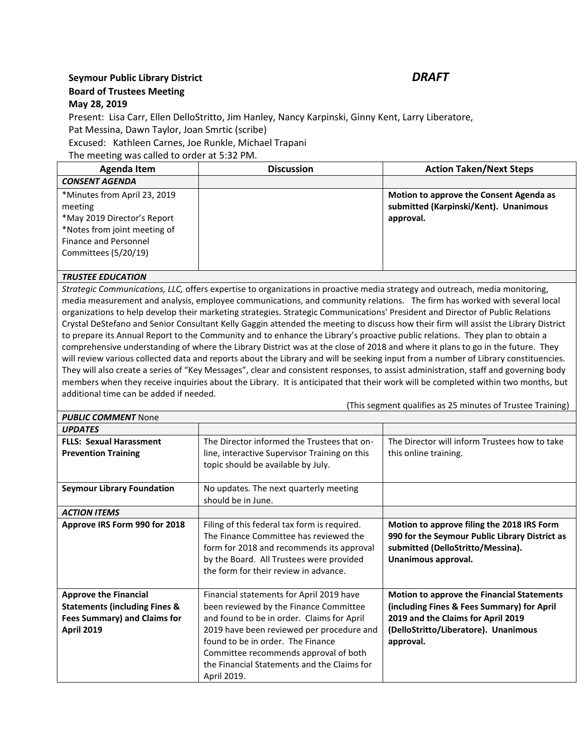## **Seymour Public Library District** *DRAFT* **Board of Trustees Meeting May 28, 2019**

## Present: Lisa Carr, Ellen DelloStritto, Jim Hanley, Nancy Karpinski, Ginny Kent, Larry Liberatore, Pat Messina, Dawn Taylor, Joan Smrtic (scribe)

Excused: Kathleen Carnes, Joe Runkle, Michael Trapani

The meeting was called to order at 5:32 PM.

| <b>Agenda Item</b>           | <b>Discussion</b> | <b>Action Taken/Next Steps</b>          |
|------------------------------|-------------------|-----------------------------------------|
| <b>CONSENT AGENDA</b>        |                   |                                         |
| *Minutes from April 23, 2019 |                   | Motion to approve the Consent Agenda as |
| meeting                      |                   | submitted (Karpinski/Kent). Unanimous   |
| *May 2019 Director's Report  |                   | approval.                               |
| *Notes from joint meeting of |                   |                                         |
| Finance and Personnel        |                   |                                         |
| Committees (5/20/19)         |                   |                                         |
|                              |                   |                                         |

## *TRUSTEE EDUCATION*

*PUBLIC COMMENT* None

*Strategic Communications, LLC,* offers expertise to organizations in proactive media strategy and outreach, media monitoring, media measurement and analysis, employee communications, and community relations. The firm has worked with several local organizations to help develop their marketing strategies. Strategic Communications' President and Director of Public Relations Crystal DeStefano and Senior Consultant Kelly Gaggin attended the meeting to discuss how their firm will assist the Library District to prepare its Annual Report to the Community and to enhance the Library's proactive public relations. They plan to obtain a comprehensive understanding of where the Library District was at the close of 2018 and where it plans to go in the future. They will review various collected data and reports about the Library and will be seeking input from a number of Library constituencies. They will also create a series of "Key Messages", clear and consistent responses, to assist administration, staff and governing body members when they receive inquiries about the Library. It is anticipated that their work will be completed within two months, but additional time can be added if needed.

(This segment qualifies as 25 minutes of Trustee Training)

| PUBLIC CONINIENT NONE                                                                                                                |                                                                                                                                                                                                                                                                                                                           |                                                                                                                                                                                            |
|--------------------------------------------------------------------------------------------------------------------------------------|---------------------------------------------------------------------------------------------------------------------------------------------------------------------------------------------------------------------------------------------------------------------------------------------------------------------------|--------------------------------------------------------------------------------------------------------------------------------------------------------------------------------------------|
| <b>UPDATES</b>                                                                                                                       |                                                                                                                                                                                                                                                                                                                           |                                                                                                                                                                                            |
| <b>FLLS: Sexual Harassment</b>                                                                                                       | The Director informed the Trustees that on-                                                                                                                                                                                                                                                                               | The Director will inform Trustees how to take                                                                                                                                              |
| <b>Prevention Training</b>                                                                                                           | line, interactive Supervisor Training on this                                                                                                                                                                                                                                                                             | this online training.                                                                                                                                                                      |
|                                                                                                                                      | topic should be available by July.                                                                                                                                                                                                                                                                                        |                                                                                                                                                                                            |
| <b>Seymour Library Foundation</b>                                                                                                    | No updates. The next quarterly meeting<br>should be in June.                                                                                                                                                                                                                                                              |                                                                                                                                                                                            |
| <b>ACTION ITEMS</b>                                                                                                                  |                                                                                                                                                                                                                                                                                                                           |                                                                                                                                                                                            |
| Approve IRS Form 990 for 2018                                                                                                        | Filing of this federal tax form is required.<br>The Finance Committee has reviewed the<br>form for 2018 and recommends its approval<br>by the Board. All Trustees were provided<br>the form for their review in advance.                                                                                                  | Motion to approve filing the 2018 IRS Form<br>990 for the Seymour Public Library District as<br>submitted (DelloStritto/Messina).<br>Unanimous approval.                                   |
| <b>Approve the Financial</b><br><b>Statements (including Fines &amp;</b><br><b>Fees Summary) and Claims for</b><br><b>April 2019</b> | Financial statements for April 2019 have<br>been reviewed by the Finance Committee<br>and found to be in order. Claims for April<br>2019 have been reviewed per procedure and<br>found to be in order. The Finance<br>Committee recommends approval of both<br>the Financial Statements and the Claims for<br>April 2019. | <b>Motion to approve the Financial Statements</b><br>(including Fines & Fees Summary) for April<br>2019 and the Claims for April 2019<br>(DelloStritto/Liberatore). Unanimous<br>approval. |